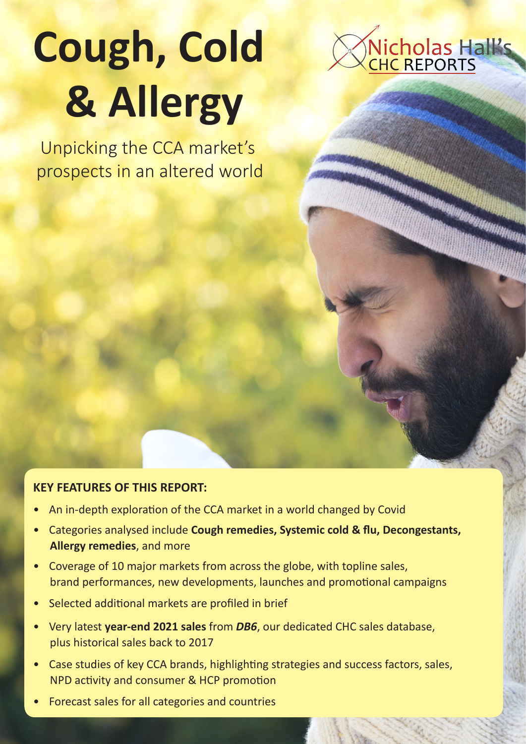# **Cough, Cold & Allergy**

Nicholas Halks

Unpicking the CCA market's prospects in an altered world

### **KEY FEATURES OF THIS REPORT:**

- An in-depth exploration of the CCA market in a world changed by Covid
- Categories analysed include **Cough remedies, Systemic cold & flu, Decongestants, Allergy remedies**, and more
- Coverage of 10 major markets from across the globe, with topline sales, brand performances, new developments, launches and promotional campaigns
- Selected additional markets are profiled in brief
- Very latest **year-end 2021 sales** from *DB6*, our dedicated CHC sales database, plus historical sales back to 2017
- Case studies of key CCA brands, highlighting strategies and success factors, sales, NPD activity and consumer & HCP promotion
- Forecast sales for all categories and countries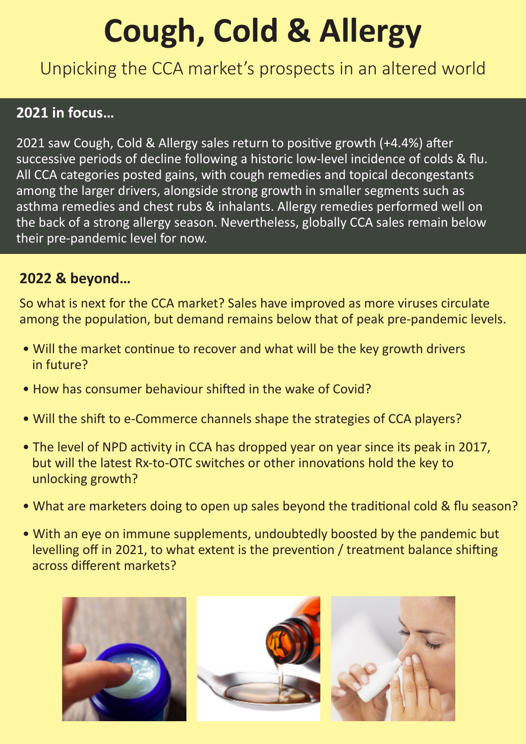# **Cough, Cold & Allergy**

Unpicking the CCA market's prospects in an altered world

# **2021 in focus…**

2021 saw Cough, Cold & Allergy sales return to positive growth (+4.4%) after successive periods of decline following a historic low-level incidence of colds & flu. All CCA categories posted gains, with cough remedies and topical decongestants among the larger drivers, alongside strong growth in smaller segments such as asthma remedies and chest rubs & inhalants. Allergy remedies performed well on the back of a strong allergy season. Nevertheless, globally CCA sales remain below their pre-pandemic level for now.

# **2022 & beyond…**

So what is next for the CCA market? Sales have improved as more viruses circulate among the population, but demand remains below that of peak pre-pandemic levels.

- Will the market continue to recover and what will be the key growth drivers in future?
- How has consumer behaviour shifted in the wake of Covid?
- Will the shift to e-Commerce channels shape the strategies of CCA players?
- The level of NPD activity in CCA has dropped year on year since its peak in 2017, but will the latest Rx-to-OTC switches or other innovations hold the key to unlocking growth?
- What are marketers doing to open up sales beyond the traditional cold & flu season?
- With an eye on immune supplements, undoubtedly boosted by the pandemic but levelling off in 2021, to what extent is the prevention / treatment balance shifting across different markets?